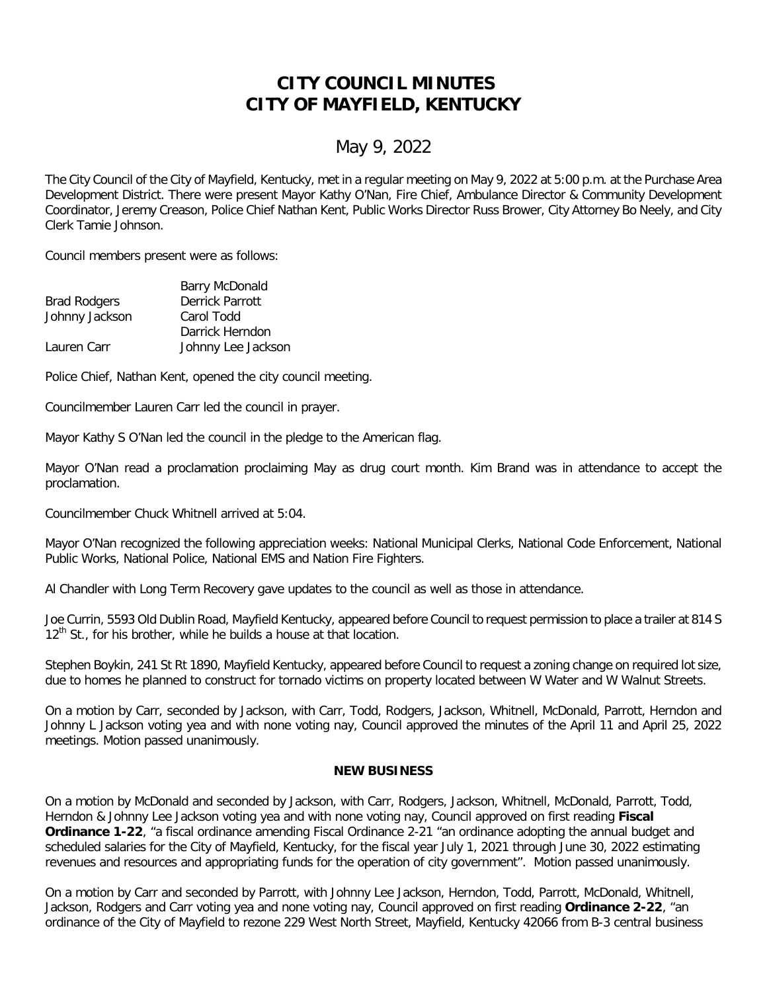## **CITY COUNCIL MINUTES CITY OF MAYFIELD, KENTUCKY**

## May 9, 2022

The City Council of the City of Mayfield, Kentucky, met in a regular meeting on May 9, 2022 at 5:00 p.m. at the Purchase Area Development District. There were present Mayor Kathy O'Nan, Fire Chief, Ambulance Director & Community Development Coordinator, Jeremy Creason, Police Chief Nathan Kent, Public Works Director Russ Brower, City Attorney Bo Neely, and City Clerk Tamie Johnson.

Council members present were as follows:

| <b>Barry McDonald</b> |
|-----------------------|
| Derrick Parrott       |
| Carol Todd            |
| Darrick Herndon       |
| Johnny Lee Jackson    |
|                       |

Police Chief, Nathan Kent, opened the city council meeting.

Councilmember Lauren Carr led the council in prayer.

Mayor Kathy S O'Nan led the council in the pledge to the American flag.

Mayor O'Nan read a proclamation proclaiming May as drug court month. Kim Brand was in attendance to accept the proclamation.

Councilmember Chuck Whitnell arrived at 5:04.

Mayor O'Nan recognized the following appreciation weeks: National Municipal Clerks, National Code Enforcement, National Public Works, National Police, National EMS and Nation Fire Fighters.

Al Chandler with Long Term Recovery gave updates to the council as well as those in attendance.

Joe Currin, 5593 Old Dublin Road, Mayfield Kentucky, appeared before Council to request permission to place a trailer at 814 S  $12<sup>th</sup>$  St., for his brother, while he builds a house at that location.

Stephen Boykin, 241 St Rt 1890, Mayfield Kentucky, appeared before Council to request a zoning change on required lot size, due to homes he planned to construct for tornado victims on property located between W Water and W Walnut Streets.

On a motion by Carr, seconded by Jackson, with Carr, Todd, Rodgers, Jackson, Whitnell, McDonald, Parrott, Herndon and Johnny L Jackson voting yea and with none voting nay, Council approved the minutes of the April 11 and April 25, 2022 meetings. Motion passed unanimously.

## **NEW BUSINESS**

On a motion by McDonald and seconded by Jackson, with Carr, Rodgers, Jackson, Whitnell, McDonald, Parrott, Todd, Herndon & Johnny Lee Jackson voting yea and with none voting nay, Council approved on first reading **Fiscal Ordinance 1-22**, "a fiscal ordinance amending Fiscal Ordinance 2-21 "an ordinance adopting the annual budget and scheduled salaries for the City of Mayfield, Kentucky, for the fiscal year July 1, 2021 through June 30, 2022 estimating revenues and resources and appropriating funds for the operation of city government". Motion passed unanimously.

On a motion by Carr and seconded by Parrott, with Johnny Lee Jackson, Herndon, Todd, Parrott, McDonald, Whitnell, Jackson, Rodgers and Carr voting yea and none voting nay, Council approved on first reading **Ordinance 2-22**, "an ordinance of the City of Mayfield to rezone 229 West North Street, Mayfield, Kentucky 42066 from B-3 central business